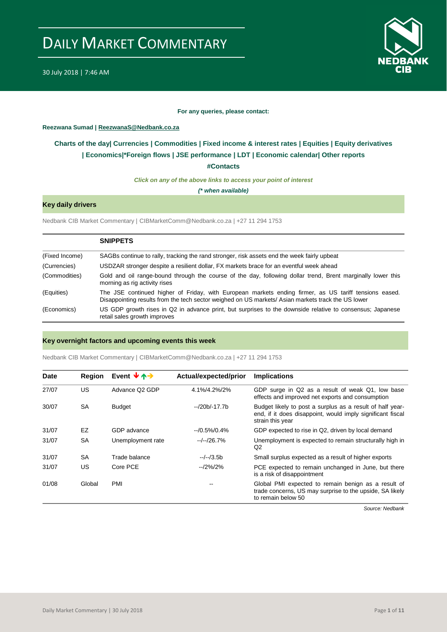

#### **For any queries, please contact:**

#### <span id="page-0-0"></span>**Reezwana Sumad | ReezwanaS@Nedbank.co.za**

### **Charts of the day| [Currencies](#page-2-0) [| Commodities](#page-3-0) | [Fixed income & interest rates](#page-1-0) | [Equities](#page-4-0) | Equity derivatives | [Economics|\\*](#page-7-0)Foreign flows [| JSE performance](#page-4-1) | [LDT](#page-5-0) | [Economic calendar|](#page-8-0) Other reports**

**[#Contacts](#page-9-0)**

*Click on any of the above links to access your point of interest*

*(\* when available)*

#### **Key daily drivers**

Nedbank CIB Market Commentary | CIBMarketComm@Nedbank.co.za | +27 11 294 1753

|                | <b>SNIPPETS</b>                                                                                                                                                                                             |
|----------------|-------------------------------------------------------------------------------------------------------------------------------------------------------------------------------------------------------------|
| (Fixed Income) | SAGBs continue to rally, tracking the rand stronger, risk assets end the week fairly upbeat                                                                                                                 |
| (Currencies)   | USDZAR stronger despite a resilient dollar, FX markets brace for an eventful week ahead                                                                                                                     |
| (Commodities)  | Gold and oil range-bound through the course of the day, following dollar trend, Brent marginally lower this<br>morning as rig activity rises                                                                |
| (Equities)     | The JSE continued higher of Friday, with European markets ending firmer, as US tariff tensions eased.<br>Disappointing results from the tech sector weighed on US markets/ Asian markets track the US lower |
| (Economics)    | US GDP growth rises in Q2 in advance print, but surprises to the downside relative to consensus; Japanese<br>retail sales growth improves                                                                   |

#### **Key overnight factors and upcoming events this week**

Nedbank CIB Market Commentary | CIBMarketComm@Nedbank.co.za | +27 11 294 1753

| <b>Date</b> | <b>Region</b> | Event $\forall$ $\land \rightarrow$ | Actual/expected/prior | <b>Implications</b>                                                                                                                         |
|-------------|---------------|-------------------------------------|-----------------------|---------------------------------------------------------------------------------------------------------------------------------------------|
| 27/07       | US            | Advance Q2 GDP                      | 4.1%/4.2%/2%          | GDP surge in Q2 as a result of weak Q1, low base<br>effects and improved net exports and consumption                                        |
| 30/07       | <b>SA</b>     | <b>Budget</b>                       | $-20b/-17.7b$         | Budget likely to post a surplus as a result of half year-<br>end, if it does disappoint, would imply significant fiscal<br>strain this year |
| 31/07       | EZ            | GDP advance                         | $-10.5\%/0.4\%$       | GDP expected to rise in Q2, driven by local demand                                                                                          |
| 31/07       | <b>SA</b>     | Unemployment rate                   | $-/-/26.7%$           | Unemployment is expected to remain structurally high in<br>Q2                                                                               |
| 31/07       | <b>SA</b>     | Trade balance                       | $-/-/3.5b$            | Small surplus expected as a result of higher exports                                                                                        |
| 31/07       | US            | Core PCE                            | $-12\%/2\%$           | PCE expected to remain unchanged in June, but there<br>is a risk of disappointment                                                          |
| 01/08       | Global        | <b>PMI</b>                          |                       | Global PMI expected to remain benign as a result of<br>trade concerns, US may surprise to the upside, SA likely<br>to remain below 50       |

*Source: Nedbank*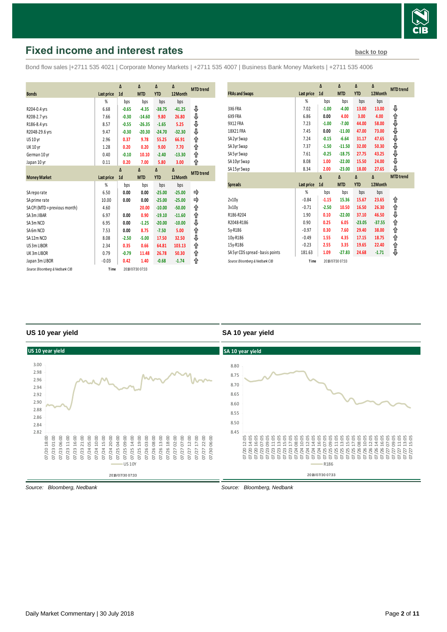

## <span id="page-1-0"></span>**Fixed income and interest rates [back to top](#page-0-0) back to top**

Bond flow sales |+2711 535 4021 | Corporate Money Markets | +2711 535 4007 | Business Bank Money Markets | +2711 535 4006

|                                 |                   | Δ              | Δ                | $\Delta$   | Δ        |                  |
|---------------------------------|-------------------|----------------|------------------|------------|----------|------------------|
| <b>Bonds</b>                    |                   | 1 <sub>d</sub> | <b>MTD</b>       | <b>YTD</b> | 12Month  | <b>MTD</b> trend |
|                                 | <b>Last price</b> |                |                  |            |          |                  |
|                                 | %                 | bps            | bps              | bps        | bps      |                  |
| R204-0.4 yrs                    | 6.68              | $-0.65$        | $-4.35$          | $-38.75$   | $-41.25$ | ⊕                |
| R208-2.7 yrs                    | 7.66              | $-0.30$        | $-14.60$         | 9.80       | 26.80    | ⇓                |
| R186-8.4 yrs                    | 8.57              | $-0.55$        | $-26.35$         | $-1.65$    | 5.25     | ⇓                |
| R2048-29.6 yrs                  | 9.47              | $-0.30$        | $-20.30$         | $-24.70$   | $-32.30$ | ⇓                |
| <b>US 10 yr</b>                 | 2.96              | 0.37           | 9.78             | 55.25      | 66.91    | ⇑                |
| <b>UK 10 yr</b>                 | 1.28              | 0.20           | 0.20             | 9.00       | 7.70     | ⇑                |
| German 10 yr                    | 0.40              | $-0.10$        | 10.10            | $-2.40$    | $-13.30$ | ↟                |
| Japan 10 yr                     | 0.11              | 0.20           | 7.00             | 5.80       | 3.00     | ⇑                |
|                                 |                   | $\Lambda$      | $\Lambda$        | Δ          | Δ        | <b>MTD</b> trend |
| <b>Money Market</b>             | <b>Last price</b> | 1 <sub>d</sub> | <b>MTD</b>       | <b>YTD</b> | 12Month  |                  |
|                                 | %                 | bps            | bps              | bps        | bps      |                  |
| SA reporate                     | 6.50              | 0.00           | 0.00             | $-25.00$   | $-25.00$ | ⇛                |
| SA prime rate                   | 10.00             | 0.00           | 0.00             | $-25.00$   | $-25.00$ | ⇛                |
| SA CPI (MTD = previous month)   | 4.60              |                | 20.00            | $-10.00$   | $-50.00$ | ↟                |
| SA 3m JIBAR                     | 6.97              | 0.00           | 0.90             | $-19.10$   | $-11.60$ | ↑                |
| SA3m NCD                        | 6.95              | 0.00           | $-1.25$          | $-20.00$   | $-10.00$ | ⇓                |
| SA6m NCD                        | 7.53              | 0.00           | 8.75             | $-7.50$    | 5.00     | ↟                |
| SA12m NCD                       | 8.08              | $-2.50$        | $-5.00$          | 17.50      | 32.50    | ⇓                |
| US 3m LIBOR                     | 2.34              | 0.35           | 0.66             | 64.81      | 103.13   | ⇑                |
| UK3m LIBOR                      | 0.79              | $-0.79$        | 11.48            | 26.78      | 50.30    | ⇑                |
| Japan 3m LIBOR                  | $-0.03$           | 0.42           | 1.40             | $-0.68$    | $-1.74$  | ⇑                |
| Source: Bloomberg & Nedbank CIB |                   |                | 2018/07/30 07:33 |            |          |                  |

| <b>FRAs and Swaps</b>            | Last price | Δ<br>1 <sub>d</sub> | Δ<br><b>MTD</b> | $\Delta$<br><b>YTD</b> | Δ<br>12Month | <b>MTD</b> trend |
|----------------------------------|------------|---------------------|-----------------|------------------------|--------------|------------------|
|                                  | %          | bps                 | bps             | bps                    | bps          |                  |
| 3X6 FRA                          | 7.02       | $-1.00$             | $-4.00$         | 13.00                  | 13.00        | ⇓                |
| 6X9 FRA                          | 6.86       | 0.00                | 4.00            | 3.00                   | 4.00         |                  |
| 9X12 FRA                         | 7.23       | $-1.00$             | $-7.00$         | 44.00                  | 58.00        | ↑↓               |
| 18X21 FRA                        | 7.45       | 0.00                | $-11.00$        | 47.00                  | 73.00        |                  |
| SA 2yr Swap                      | 7.24       | $-0.15$             | $-6.64$         | 31.17                  | 47.65        | 介合介介介            |
| SA 3yr Swap                      | 7.37       | $-1.50$             | $-11.50$        | 32.00                  | 50.30        |                  |
| SA 5yr Swap                      | 7.61       | $-0.25$             | $-18.75$        | 27.75                  | 43.25        |                  |
| SA 10yr Swap                     | 8.08       | 1.00                | $-22.00$        | 15.50                  | 24.00        |                  |
| SA 15yr Swap                     | 8.34       | 2.00                | $-23.00$        | 18.00                  | 27.65        | ⊕                |
|                                  |            |                     |                 |                        |              |                  |
|                                  |            | $\Delta$            | $\Delta$        | $\Delta$               | Δ            | <b>MTD</b> trend |
| <b>Spreads</b>                   | Last price | 1 <sub>d</sub>      | <b>MTD</b>      | <b>YTD</b>             | 12Month      |                  |
|                                  | %          | bps                 | bps             | bps                    | bps          |                  |
| 2v10v                            | $-0.84$    | $-1.15$             | 15.36           | 15.67                  | 23.65        | ⇑                |
| 3v10v                            | $-0.71$    | $-2.50$             | 10.50           | 16.50                  | 26.30        | 飠                |
| R186-R204                        | 1.90       | 0.10                | $-22.00$        | 37.10                  | 46.50        | ⇓                |
| R2048-R186                       | 0.90       | 0.25                | 6.05            | $-23.05$               | $-37.55$     | ⇑                |
| 5y-R186                          | $-0.97$    | 0.30                | 7.60            | 29.40                  | 38.00        | ⇑                |
| 10y-R186                         | $-0.49$    | 1.55                | 4.35            | 17.15                  | 18.75        |                  |
| 15y-R186                         | $-0.23$    | 2.55                | 3.35            | 19.65                  | 22.40        | ⇑<br>⇑           |
| SA 5yr CDS spread - basis points | 181.63     | 1.09                | $-27.83$        | 24.68                  | $-1.71$      | ⊕                |

#### **US 10 year yield**

#### **SA 10 year yield**



*Source: Bloomberg, Nedbank*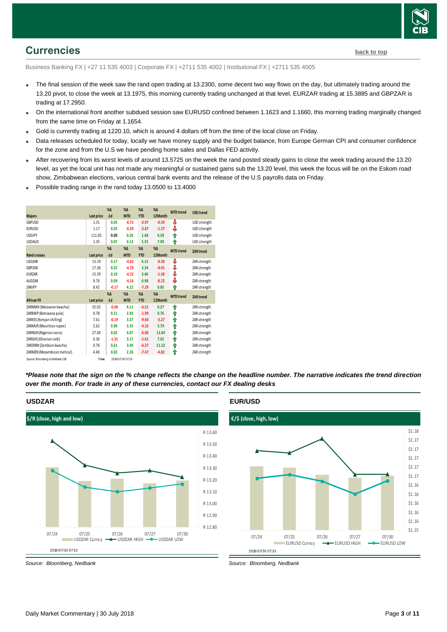

## <span id="page-2-0"></span>**Currencies [back to top](#page-0-0)**

Business Banking FX | +27 11 535 4003 | Corporate FX | +2711 535 4002 | Institutional FX | +2711 535 4005

- The final session of the week saw the rand open trading at 13.2300, some decent two way flows on the day, but ultimately trading around the 13.20 pivot, to close the week at 13.1975, this morning currently trading unchanged at that level, EURZAR trading at 15.3885 and GBPZAR is trading at 17.2950.
- On the international front another subdued session saw EURUSD confined between 1.1623 and 1.1660, this morning trading marginally changed from the same time on Friday at 1.1654.
- Gold is currently trading at 1220.10, which is around 4 dollars off from the time of the local close on Friday.
- Data releases scheduled for today, locally we have money supply and the budget balance, from Europe German CPI and consumer confidence for the zone and from the U.S we have pending home sales and Dallas FED activity.
- After recovering from its worst levels of around 13.5725 on the week the rand posted steady gains to close the week trading around the 13.20 level, as yet the local unit has not made any meaningful or sustained gains sub the 13.20 level, this week the focus will be on the Eskom road show, Zimbabwean elections, various central bank events and the release of the U.S payrolls data on Friday.
- Possible trading range in the rand today 13.0500 to 13.4000

|                                 |            | $% \Delta$ | $%$ $\Delta$     | $%$ $\Delta$ | $% \Delta$   | <b>MTD</b> trend | <b>USD trend</b> |
|---------------------------------|------------|------------|------------------|--------------|--------------|------------------|------------------|
| <b>Majors</b>                   | Last price | $-1d$      | <b>MTD</b>       | <b>YTD</b>   | 12Month      |                  |                  |
| GBPUSD                          | 1.31       | 0.05       | $-0.72$          | $-2.97$      | $-0.59$      | ⇩                | USD strength     |
| <b>EURUSD</b>                   | 1.17       | 0.03       | $-0.20$          | $-2.87$      | $-1.27$      | ⇓                | USD strength     |
| <b>USDJPY</b>                   | 111.05     | 0.00       | 0.26             | 1.48         | 0.58         | ⇑                | USD strength     |
| <b>USDAUD</b>                   | 1.35       | 0.07       | 0.13             | 5.55         | 7.90         | ⇑                | USD strength     |
|                                 |            | $% \Delta$ | $% \Lambda$      | $% \Lambda$  | $%$ $\Delta$ | <b>MTD</b> trend | <b>ZAR</b> trend |
| <b>Rand crosses</b>             | Last price | $-1d$      | <b>MTD</b>       | <b>YTD</b>   | 12Month      |                  |                  |
| <b>USDZAR</b>                   | 13.19      | 0.17       | $-4.02$          | 6.15         | $-0.30$      | ⇩                | ZAR strength     |
| GBPZAR                          | 17.30      | 0.25       | $-4.79$          | 3.34         | $-0.91$      | ⇩                | ZAR strength     |
| <b>EURZAR</b>                   | 15.39      | 0.19       | $-4.22$          | 3.46         | $-1.58$      | ⇓                | ZAR strength     |
| AUDZAR                          | 9.76       | 0.09       | $-4.16$          | 0.98         | $-8.22$      | ⇓                | ZAR strength     |
| ZARIPY                          | 8.42       | $-0.17$    | 4.12             | $-7.29$      | 0.85         | ↟                | ZAR strength     |
|                                 |            | $% \Delta$ | $%$ $\Delta$     | $% \Delta$   | $% \Delta$   | <b>MTD</b> trend | <b>ZAR</b> trend |
| <b>African FX</b>               | Last price | $-1d$      | <b>MTD</b>       | <b>YTD</b>   | 12Month      |                  |                  |
| ZARMWK (Malawian kwacha)        | 55.02      | $-0.00$    | 4.11             | $-6.51$      | 0.27         | ⇑                | ZAR strength     |
| ZARBWP (Botswana pula)          | 0.78       | 0.21       | 2.93             | $-1.99$      | 0.76         | ⇑                | ZAR strength     |
| ZARKES (Kenyan shilling)        | 7.61       | $-0.19$    | 3.37             | $-9.64$      | $-3.27$      | ⇑                | ZAR strength     |
| ZARMUR (Mauritian rupee)        | 2.62       | 0.90       | 3.33             | $-4.16$      | 3.79         | ↟                | ZAR strength     |
| ZARNGN (Nigerian naira)         | 27.40      | 0.02       | 4.07             | $-6.06$      | 13.04        | ⇑                | ZAR strength     |
| ZARGHS (Ghanian cedi)           | 0.36       | $-1.31$    | 3.17             | $-1.61$      | 7.62         | ⇑                | ZAR strength     |
| ZARZMW (Zambian kwacha)         | 0.76       | 0.61       | 3.94             | $-6.27$      | 11.22        | ↟                | ZAR strength     |
| ZARMZN (Mozambican metical)     | 4.40       | 0.02       | 2.26             | $-7.47$      | $-4.82$      | ⇑                | ZAR strength     |
| Source: Bloomberg & Nedbank CIB | Time       |            | 2018/07/30 07:33 |              |              |                  |                  |

*\*Please note that the sign on the % change reflects the change on the headline number. The narrative indicates the trend direction over the month. For trade in any of these currencies, contact our FX dealing desks*



*Source: Bloomberg, Nedbank*

**USDZAR**

#### **EUR/USD**

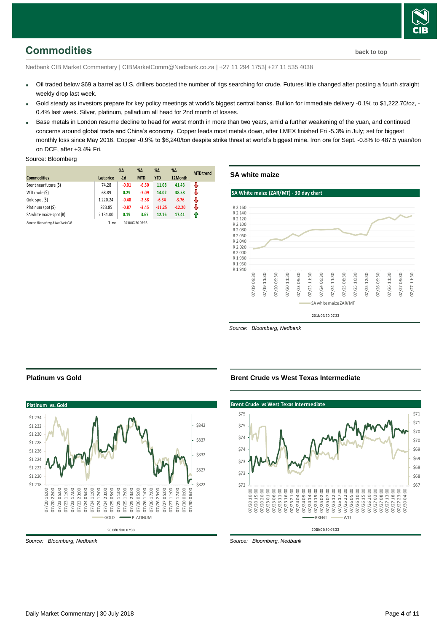

## <span id="page-3-0"></span>**Commodities [back to top](#page-0-0)**

Nedbank CIB Market Commentary | CIBMarketComm@Nedbank.co.za | +27 11 294 1753| +27 11 535 4038

- Oil traded below \$69 a barrel as U.S. drillers boosted the number of rigs searching for crude. Futures little changed after posting a fourth straight weekly drop last week.
- Gold steady as investors prepare for key policy meetings at world's biggest central banks. Bullion for immediate delivery -0.1% to \$1,222.70/oz, 0.4% last week. Silver, platinum, palladium all head for 2nd month of losses.
- Base metals in London resume decline to head for worst month in more than two years, amid a further weakening of the yuan, and continued concerns around global trade and China's economy. Copper leads most metals down, after LMEX finished Fri -5.3% in July; set for biggest monthly loss since May 2016. Copper -0.9% to \$6,240/ton despite strike threat at world's biggest mine. Iron ore for Sept. -0.8% to 487.5 yuan/ton on DCE, after +3.4% Fri.

#### Source: Bloomberg

|                                 |             | $% \Delta$ | $\%$ $\Delta$    | %Δ         | $\%$ $\Delta$ | <b>MTD</b> trend |
|---------------------------------|-------------|------------|------------------|------------|---------------|------------------|
| <b>Commodities</b>              | Last price  | $-1d$      | <b>MTD</b>       | <b>YTD</b> | 12Month       |                  |
| Brent near future (\$)          | 74.28       | $-0.01$    | $-6.50$          | 11.08      | 41.43         | J                |
| WTI crude (\$)                  | 68.89       | 0.29       | $-7.09$          | 14.02      | 38.58         | J                |
| Gold spot (\$)                  | 1220.24     | $-0.48$    | $-2.58$          | $-6.34$    | $-3.76$       | J                |
| Platinum spot (\$)              | 823.85      | $-0.87$    | $-3.45$          | $-11.25$   | $-12.20$      | J                |
| SA white maize spot (R)         | 2 1 3 1 .00 | 0.19       | 3.65             | 12.16      | 17.41         | 11               |
| Source: Bloomberg & Nedbank CIB | Time        |            | 2018/07/30 07:33 |            |               |                  |

#### **SA white maize**



*Source: Bloomberg, Nedbank*

#### **Platinum vs Gold**



*Source: Bloomberg, Nedbank*

#### **Brent Crude vs West Texas Intermediate**

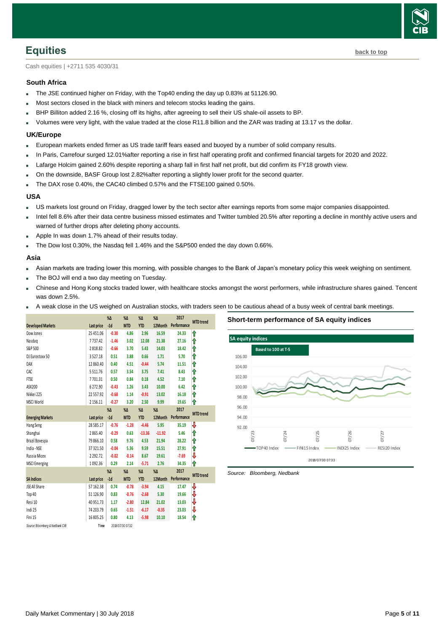

<span id="page-4-0"></span>**Equities [back to top](#page-0-0)** 

Cash equities | +2711 535 4030/31

#### **South Africa**

- The JSE continued higher on Friday, with the Top40 ending the day up 0.83% at 51126.90.
- Most sectors closed in the black with miners and telecom stocks leading the gains.
- BHP Billiton added 2.16 %, closing off its highs, after agreeing to sell their US shale-oil assets to BP.
- Volumes were very light, with the value traded at the close R11.8 billion and the ZAR was trading at 13.17 vs the dollar.

#### **UK/Europe**

- European markets ended firmer as US trade tariff fears eased and buoyed by a number of solid company results.
- In Paris, Carrefour surged 12.01%after reporting a rise in first half operating profit and confirmed financial targets for 2020 and 2022.
- Lafarge Holcim gained 2.60% despite reporting a sharp fall in first half net profit, but did confirm its FY18 growth view.
- On the downside, BASF Group lost 2.82%after reporting a slightly lower profit for the second quarter.
- The DAX rose 0.40%, the CAC40 climbed 0.57% and the FTSE100 gained 0.50%.

#### **USA**

- US markets lost ground on Friday, dragged lower by the tech sector after earnings reports from some major companies disappointed.
- Intel fell 8.6% after their data centre business missed estimates and Twitter tumbled 20.5% after reporting a decline in monthly active users and warned of further drops after deleting phony accounts.
- Apple In was down 1.7% ahead of their results today.
- The Dow lost 0.30%, the Nasdaq fell 1.46% and the S&P500 ended the day down 0.66%.

#### **Asia**

- Asian markets are trading lower this morning, with possible changes to the Bank of Japan's monetary policy this week weighing on sentiment.
- The BOJ will end a two day meeting on Tuesday.
- Chinese and Hong Kong stocks traded lower, with healthcare stocks amongst the worst performers, while infrastructure shares gained. Tencent was down 2.5%.
- A weak close in the US weighed on Australian stocks, with traders seen to be cautious ahead of a busy week of central bank meetings.

<span id="page-4-1"></span>

|                                 |               | %Δ      | $% \Delta$       | $\%$ $\Delta$ | $% \Delta$ | 2017        | <b>MTD</b> trend |
|---------------------------------|---------------|---------|------------------|---------------|------------|-------------|------------------|
| <b>Developed Markets</b>        | Last price    | $-1d$   | <b>MTD</b>       | <b>YTD</b>    | 12Month    | Performance |                  |
| Dow Jones                       | 25 45 1.06    | $-0.30$ | 4.86             | 2.96          | 16.59      | 24.33       | ⇑                |
| Nasdaq                          | 7737.42       | $-1.46$ | 3.02             | 12.08         | 21.38      | 27.16       | ⇑                |
| S&P 500                         | 2818.82       | $-0.66$ | 3.70             | 5.43          | 14.03      | 18.42       | ⇑                |
| DJ Eurostoxx 50                 | 3527.18       | 0.51    | 3.88             | 0.66          | 1.71       | 5.70        | ⇑                |
| DAX                             | 12 860.40     | 0.40    | 4.51             | $-0.44$       | 5.74       | 11.51       | ⇑                |
| CAC                             | 5511.76       | 0.57    | 3.54             | 3.75          | 7.41       | 8.43        | ⇑                |
| <b>FTSE</b>                     | 7701.31       | 0.50    | 0.84             | 0.18          | 4.52       | 7.10        | ⇑                |
| ASX200                          | 6272.90       | $-0.43$ | 1.26             | 3.43          | 10.00      | 6.42        | ⇑                |
| Nikkei 225                      | 22557.92      | $-0.68$ | 1.14             | $-0.91$       | 13.02      | 16.18       | ⇑                |
| MSCI World                      | 2 1 5 6 . 1 1 | $-0.27$ | 3.20             | 2.50          | 9.99       | 19.65       | ⇑                |
|                                 |               | %Δ      | $% \Delta$       | $\%$ $\Delta$ | $% \Delta$ | 2017        |                  |
| <b>Emerging Markets</b>         | Last price    | $-1d$   | <b>MTD</b>       | <b>YTD</b>    | 12Month    | Performance | <b>MTD</b> trend |
| Hang Seng                       | 28585.17      | $-0.76$ | $-1.28$          | $-4.46$       | 5.95       | 35.19       | ⇩                |
| Shanghai                        | 2865.40       | $-0.29$ | 0.63             | $-13.36$      | $-11.92$   | 5.46        | ⇑                |
| Brazil Bovespa                  | 79 866.10     | 0.58    | 9.76             | 4.53          | 21.94      | 28.22       | ⇑                |
| India - NSE                     | 37 321.50     | $-0.04$ | 5.36             | 9.59          | 15.51      | 27.91       | ⇑                |
| Russia Micex                    | 2292.72       | $-0.02$ | $-0.14$          | 8.67          | 19.61      | $-7.69$     | ⇩                |
| <b>MSCI</b> Emerging            | 1092.36       | 0.29    | 2.14             | $-5.71$       | 2.76       | 34.35       | ⇑                |
|                                 |               | %Δ      | $% \Delta$       | $% \Delta$    | $% \Delta$ | 2017        |                  |
| <b>SA Indices</b>               | Last price    | $-1d$   | <b>MTD</b>       | <b>YTD</b>    | 12Month    | Performance | <b>MTD</b> trend |
| <b>JSE All Share</b>            | 57 162.38     | 0.74    | $-0.78$          | $-3.94$       | 4.15       | 17.47       | ⇩                |
| Top 40                          | 51126.90      | 0.83    | $-0.76$          | $-2.68$       | 5.30       | 19.66       | ⇩                |
| Resi 10                         | 40 951.73     | 1.17    | $-2.80$          | 12.84         | 21.02      | 13.03       | ⇩                |
| Indi 25                         | 74 203.79     | 0.65    | $-1.51$          | $-6.17$       | $-0.35$    | 23.03       | ₩                |
| Fini 15                         | 16805.25      | 0.80    | 4.13             | $-5.98$       | 10.10      | 18.54       | ⇑                |
| Source: Bloomberg & Nedbank CIB | Time          |         | 2018/07/30 07:32 |               |            |             |                  |

**Short-term performance of SA equity indices**

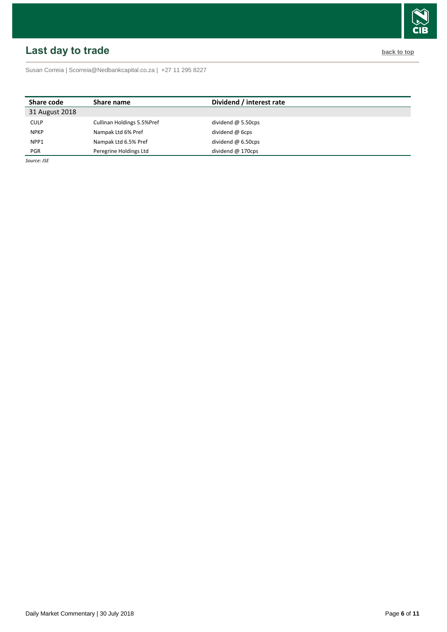# $\hat{\mathbf{u}}$

## <span id="page-5-0"></span>**Last day to trade back to the contract of the contract of the contract of the contract of the contract of the contract of the contract of the contract of the contract of the contract of the contract of the contract of t**

Susan Correia [| Scorreia@Nedbankcapital.co.za](mailto:Scorreia@Nedbankcapital.co.za) | +27 11 295 8227

| Share name                 | Dividend / interest rate |  |
|----------------------------|--------------------------|--|
|                            |                          |  |
| Cullinan Holdings 5.5%Pref | dividend $@$ 5.50cps     |  |
| Nampak Ltd 6% Pref         | dividend @ 6cps          |  |
| Nampak Ltd 6.5% Pref       | dividend $@6.50cps$      |  |
| Peregrine Holdings Ltd     | dividend $@$ 170cps      |  |
|                            |                          |  |

*Source: JSE*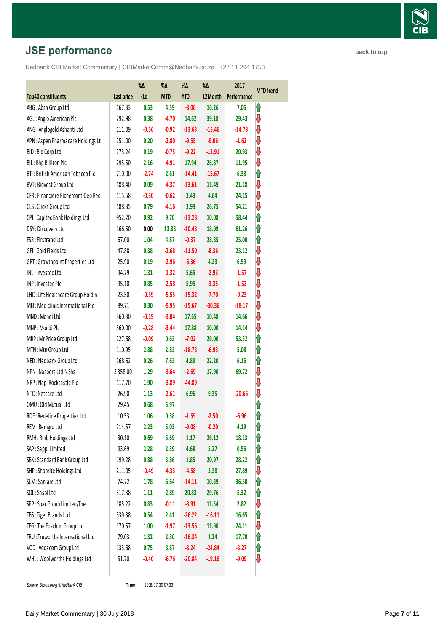## **JSE performance [back to top](#page-0-0) back to top**

Nedbank CIB Market Commentary | CIBMarketComm@Nedbank.co.za | +27 11 294 1753

|                                    |            | %Δ      | %Δ         | %Δ         | %Δ       | 2017        |                  |
|------------------------------------|------------|---------|------------|------------|----------|-------------|------------------|
| Top40 constituents                 | Last price | $-1d$   | <b>MTD</b> | <b>YTD</b> | 12Month  | Performance | <b>MTD</b> trend |
| ABG: Absa Group Ltd                | 167.33     | 0.53    | 4.59       | $-8.06$    | 16.26    | 7.05        | ⇑                |
| AGL: Anglo American Plc            | 292.98     | 0.38    | $-4.70$    | 14.62      | 39.18    | 29.43       | ⇓                |
| ANG: Anglogold Ashanti Ltd         | 111.09     | $-0.56$ | $-0.92$    | $-13.63$   | $-15.46$ | $-14.78$    | ₩                |
| APN: Aspen Pharmacare Holdings Lt  | 251.00     | 0.20    | $-2.80$    | $-9.55$    | $-9.06$  | $-1.62$     | ⇩                |
| BID: Bid Corp Ltd                  | 273.24     | 0.19    | $-0.75$    | $-9.22$    | $-13.91$ | 20.93       | ⇩                |
| BIL: Bhp Billiton Plc              | 295.50     | 2.16    | $-4.91$    | 17.94      | 26.87    | 11.95       | ⇩                |
| BTI: British American Tobacco Plc  | 710.00     | $-2.74$ | 2.61       | $-14.41$   | $-15.67$ | 6.38        | ⇑                |
| BVT: Bidvest Group Ltd             | 188.40     | 0.09    | $-4.37$    | $-13.61$   | 11.49    | 21.18       | ⇩                |
| CFR : Financiere Richemont-Dep Rec | 115.58     | $-0.30$ | $-0.62$    | 3.43       | 4.64     | 24.15       | ⇓                |
| CLS: Clicks Group Ltd              | 188.35     | 0.79    | $-4.16$    | 3.99       | 26.75    | 54.21       | ⇩                |
| CPI: Capitec Bank Holdings Ltd     | 952.20     | 0.92    | 9.70       | $-13.28$   | 10.08    | 58.44       | ⇑                |
| DSY: Discovery Ltd                 | 166.50     | 0.00    | 12.88      | $-10.48$   | 18.09    | 61.26       | ⇑                |
| FSR: Firstrand Ltd                 | 67.00      | 1.04    | 4.87       | $-0.37$    | 28.85    | 25.00       | ⇑                |
| GFI: Gold Fields Ltd               | 47.88      | 0.38    | $-2.68$    | $-11.50$   | $-8.36$  | 23.12       | ⇩                |
| GRT: Growthpoint Properties Ltd    | 25.90      | 0.19    | $-2.96$    | $-6.36$    | 4.23     | 6.59        | ⇩                |
| INL: Investec Ltd                  | 94.79      | 1.31    | $-1.32$    | 5.65       | $-2.93$  | $-1.57$     | ⇓                |
| INP: Investec Plc                  | 95.10      | 0.85    | $-2.58$    | 5.95       | $-3.35$  | $-1.52$     | ₩                |
| LHC: Life Healthcare Group Holdin  | 23.50      | $-0.59$ | $-5.55$    | $-15.32$   | $-7.70$  | $-9.23$     | ⇩                |
| MEI: Mediclinic International Plc  | 89.71      | 0.30    | $-5.95$    | $-15.67$   | $-30.36$ | $-18.17$    | ₩                |
| MND: Mondi Ltd                     | 360.30     | $-0.19$ | $-3.04$    | 17.65      | 10.48    | 14.66       | ⇩                |
| MNP: Mondi Plc                     | 360.00     | $-0.28$ | $-3.44$    | 17.88      | 10.00    | 14.14       | ₩                |
| MRP: Mr Price Group Ltd            | 227.68     | $-0.09$ | 0.63       | $-7.02$    | 29.00    | 53.52       | ⇑                |
| MTN: Mtn Group Ltd                 | 110.95     | 2.88    | 2.83       | $-18.78$   | $-6.93$  | 5.08        | ⇑                |
| NED: Nedbank Group Ltd             | 268.62     | 0.26    | 7.63       | 4.89       | 22.20    | 6.16        | ⇑                |
| NPN: Naspers Ltd-N Shs             | 3358.00    | 1.29    | $-3.64$    | $-2.69$    | 17.90    | 69.72       | ⇩                |
| NRP: Nepi Rockcastle Plc           | 117.70     | 1.90    | $-3.89$    | $-44.89$   |          |             | ⇩                |
| NTC: Netcare Ltd                   | 26.90      | 1.13    | $-2.61$    | 6.96       | 9.35     | $-20.66$    | ⇓                |
| OMU: Old Mutual Ltd                | 29.45      | 0.68    | 5.97       |            |          |             |                  |
| RDF: Redefine Properties Ltd       | 10.53      | 1.06    | 0.38       | $-1.59$    | $-2.50$  | -6.96       | 1                |
| REM: Remgro Ltd                    | 214.57     | 2.23    | 5.03       | $-9.08$    | $-0.20$  | 4.19        | ⇑                |
| RMH: Rmb Holdings Ltd              | 80.10      | 0.69    | 5.69       | 1.17       | 26.12    | 18.13       | 1                |
| SAP : Sappi Limited                | 93.69      | 2.28    | 2.39       | 4.68       | 5.27     | 0.56        | ⇑                |
| SBK: Standard Bank Group Ltd       | 199.28     | 0.88    | 3.86       | 1.85       | 20.97    | 28.22       | ⇑                |
| SHP: Shoprite Holdings Ltd         | 211.05     | $-0.49$ | $-4.33$    | $-4.58$    | 3.38     | 27.89       | ⇩                |
| SLM: Sanlam Ltd                    | 74.72      | 1.78    | 6.64       | $-14.11$   | 10.39    | 36.30       | ⇑                |
| SOL: Sasol Ltd                     | 517.38     | 1.11    | 2.89       | 20.83      | 29.76    | 5.32        | ⇑                |
| SPP: Spar Group Limited/The        | 185.22     | 0.83    | $-0.11$    | $-8.91$    | 11.54    | 2.82        | ⇩                |
| TBS: Tiger Brands Ltd              | 339.38     | 0.54    | 2.41       | $-26.22$   | $-16.11$ | 16.65       | ⇑                |
| TFG: The Foschini Group Ltd        | 170.57     | 1.00    | $-1.97$    | $-13.56$   | 11.90    | 24.11       | ⇩                |
| TRU: Truworths International Ltd   | 79.03      | 1.32    | 2.30       | $-16.34$   | 1.24     | 17.70       | ⇑                |
| VOD: Vodacom Group Ltd             | 133.68     | 0.75    | 8.87       | $-8.24$    | $-24.84$ | $-3.27$     | ⇑                |
| WHL: Woolworths Holdings Ltd       | 51.70      | $-0.40$ | $-6.76$    | $-20.84$   | $-19.16$ | $-9.09$     | ⇓                |
|                                    |            |         |            |            |          |             |                  |

**Source: Bloomberg & Nedbank CIB** 

Time 2018/07/30 07:33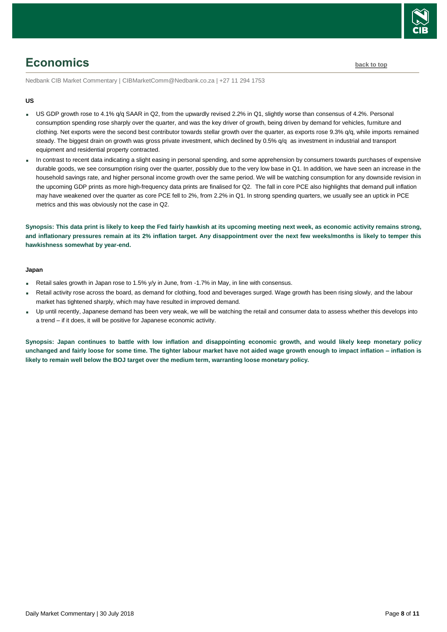

## <span id="page-7-0"></span>**Economics [back to top](#page-0-0)**

Nedbank CIB Market Commentary | CIBMarketComm@Nedbank.co.za | +27 11 294 1753

#### **US**

- US GDP growth rose to 4.1% q/q SAAR in Q2, from the upwardly revised 2.2% in Q1, slightly worse than consensus of 4.2%. Personal consumption spending rose sharply over the quarter, and was the key driver of growth, being driven by demand for vehicles, furniture and clothing. Net exports were the second best contributor towards stellar growth over the quarter, as exports rose 9.3% q/q, while imports remained steady. The biggest drain on growth was gross private investment, which declined by 0.5% q/q as investment in industrial and transport equipment and residential property contracted.
- In contrast to recent data indicating a slight easing in personal spending, and some apprehension by consumers towards purchases of expensive durable goods, we see consumption rising over the quarter, possibly due to the very low base in Q1. In addition, we have seen an increase in the household savings rate, and higher personal income growth over the same period. We will be watching consumption for any downside revision in the upcoming GDP prints as more high-frequency data prints are finalised for Q2. The fall in core PCE also highlights that demand pull inflation may have weakened over the quarter as core PCE fell to 2%, from 2.2% in Q1. In strong spending quarters, we usually see an uptick in PCE metrics and this was obviously not the case in Q2.

**Synopsis: This data print is likely to keep the Fed fairly hawkish at its upcoming meeting next week, as economic activity remains strong, and inflationary pressures remain at its 2% inflation target. Any disappointment over the next few weeks/months is likely to temper this hawkishness somewhat by year-end.**

#### **Japan**

- Retail sales growth in Japan rose to 1.5% y/y in June, from -1.7% in May, in line with consensus.
- Retail activity rose across the board, as demand for clothing, food and beverages surged. Wage growth has been rising slowly, and the labour market has tightened sharply, which may have resulted in improved demand.
- Up until recently, Japanese demand has been very weak, we will be watching the retail and consumer data to assess whether this develops into a trend – if it does, it will be positive for Japanese economic activity.

**Synopsis: Japan continues to battle with low inflation and disappointing economic growth, and would likely keep monetary policy unchanged and fairly loose for some time. The tighter labour market have not aided wage growth enough to impact inflation – inflation is likely to remain well below the BOJ target over the medium term, warranting loose monetary policy.**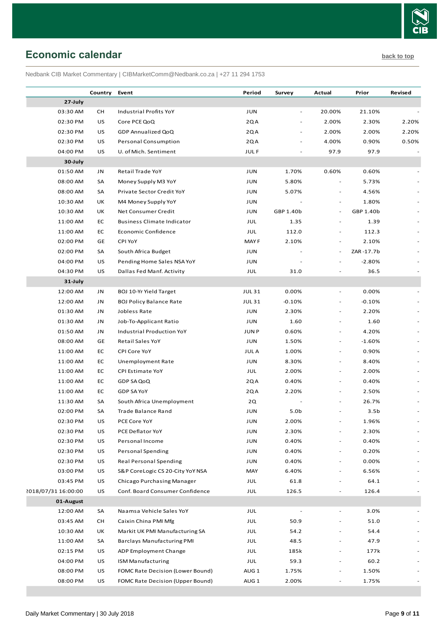

## <span id="page-8-0"></span>**Economic calendar [back to top](#page-0-0)**

Nedbank CIB Market Commentary | CIBMarketComm@Nedbank.co.za | +27 11 294 1753

|                     | Country | Event                             | Period           | Survey    | Actual                   | Prior            | Revised                  |
|---------------------|---------|-----------------------------------|------------------|-----------|--------------------------|------------------|--------------------------|
| 27-July             |         |                                   |                  |           |                          |                  |                          |
| 03:30 AM            | CH      | Industrial Profits YoY            | JUN              |           | 20.00%                   | 21.10%           |                          |
| 02:30 PM            | US      | Core PCE QoQ                      | 2QA              |           | 2.00%                    | 2.30%            | 2.20%                    |
| 02:30 PM            | US      | GDP Annualized QoQ                | 2QA              |           | 2.00%                    | 2.00%            | 2.20%                    |
| 02:30 PM            | US      | Personal Consumption              | 2QA              |           | 4.00%                    | 0.90%            | 0.50%                    |
| 04:00 PM            | US      | U. of Mich. Sentiment             | <b>JULF</b>      |           | 97.9                     | 97.9             |                          |
| 30-July             |         |                                   |                  |           |                          |                  |                          |
| 01:50 AM            | JN      | Retail Trade YoY                  | JUN              | 1.70%     | 0.60%                    | 0.60%            |                          |
| 08:00 AM            | SA      | Money Supply M3 YoY               | JUN              | 5.80%     |                          | 5.73%            |                          |
| 08:00 AM            | SA      | Private Sector Credit YoY         | JUN              | 5.07%     |                          | 4.56%            |                          |
| 10:30 AM            | UK      | M4 Money Supply YoY               | JUN              |           | $\overline{\phantom{a}}$ | 1.80%            |                          |
| 10:30 AM            | UK      | Net Consumer Credit               | JUN              | GBP 1.40b | $\overline{\phantom{a}}$ | GBP 1.40b        |                          |
| 11:00 AM            | EC      | <b>Business Climate Indicator</b> | JUL              | 1.35      | $\overline{a}$           | 1.39             |                          |
| 11:00 AM            | EC      | Economic Confidence               | JUL              | 112.0     | $\overline{a}$           | 112.3            |                          |
| 02:00 PM            | GE      | CPI YoY                           | MAY F            | 2.10%     | $\overline{\phantom{a}}$ | 2.10%            |                          |
| 02:00 PM            | SA      | South Africa Budget               | JUN              |           | $\overline{\phantom{a}}$ | ZAR-17.7b        |                          |
| 04:00 PM            | US      | Pending Home Sales NSA YoY        | JUN              |           |                          | $-2.80%$         |                          |
| 04:30 PM            | US      | Dallas Fed Manf. Activity         | JUL              | 31.0      |                          | 36.5             |                          |
| 31-July             |         |                                   |                  |           |                          |                  |                          |
| 12:00 AM            | JN      | BOJ 10-Yr Yield Target            | <b>JUL31</b>     | 0.00%     | $\overline{\phantom{a}}$ | 0.00%            |                          |
| 12:00 AM            | JN      | <b>BOJ Policy Balance Rate</b>    | <b>JUL31</b>     | $-0.10%$  |                          | $-0.10%$         |                          |
| 01:30 AM            | JN      | Jobless Rate                      | JUN              | 2.30%     | $\overline{\phantom{a}}$ | 2.20%            |                          |
| 01:30 AM            | JN      | Job-To-Applicant Ratio            | JUN              | 1.60      |                          | 1.60             |                          |
| 01:50 AM            | JN      | Industrial Production YoY         | <b>JUNP</b>      | 0.60%     | $\overline{\phantom{a}}$ | 4.20%            |                          |
| 08:00 AM            | GE      | Retail Sales YoY                  | JUN              | 1.50%     | $\overline{\phantom{a}}$ | $-1.60%$         |                          |
| 11:00 AM            | EC      | CPI Core YoY                      | <b>JULA</b>      | 1.00%     |                          | 0.90%            |                          |
| 11:00 AM            | EC      | Unemployment Rate                 | JUN              | 8.30%     | $\overline{a}$           | 8.40%            |                          |
| 11:00 AM            | EC      | CPI Estimate YoY                  | JUL              | 2.00%     | $\overline{a}$           | 2.00%            |                          |
| 11:00 AM            | EC      | GDP SA QoQ                        | 2QA              | 0.40%     | $\overline{\phantom{a}}$ | 0.40%            |                          |
| 11:00 AM            | EC      | GDP SA YoY                        | 2QA              | 2.20%     |                          | 2.50%            |                          |
| 11:30 AM            | SA      | South Africa Unemployment         | 2Q               |           |                          | 26.7%            |                          |
| 02:00 PM            | SA      | Trade Balance Rand                | JUN              | 5.0b      |                          | 3.5 <sub>b</sub> |                          |
| 02:30 PM            | US      | PCE Core YoY                      | JUN              | 2.00%     |                          | 1.96%            |                          |
| 02:30 PM            | US      | PCE Deflator YoY                  | JUN              | 2.30%     |                          | 2.30%            |                          |
| 02:30 PM            | US      | Personal Income                   | JUN              | 0.40%     |                          | 0.40%            |                          |
| 02:30 PM            | US      | <b>Personal Spending</b>          | JUN              | 0.40%     |                          | 0.20%            |                          |
| 02:30 PM            | US      | <b>Real Personal Spending</b>     | JUN              | 0.40%     | $\overline{a}$           | 0.00%            |                          |
| 03:00 PM            | US      | S&P CoreLogic CS 20-City YoY NSA  | MAY              | 6.40%     | $\overline{\phantom{m}}$ | 6.56%            |                          |
| 03:45 PM            | US      | Chicago Purchasing Manager        | JUL              | 61.8      |                          | 64.1             |                          |
| 2018/07/31 16:00:00 | US      | Conf. Board Consumer Confidence   | JUL              | 126.5     |                          | 126.4            |                          |
| 01-August           |         |                                   |                  |           |                          |                  |                          |
| 12:00 AM            | SA      | Naamsa Vehicle Sales YoY          | JUL              |           | $\overline{a}$           | 3.0%             | $\overline{\phantom{a}}$ |
| 03:45 AM            | CH      | Caixin China PMI Mfg              | JUL              | 50.9      |                          | 51.0             |                          |
| 10:30 AM            | UK      | Markit UK PMI Manufacturing SA    | JUL              | 54.2      |                          | 54.4             |                          |
| 11:00 AM            | SA      | <b>Barclays Manufacturing PMI</b> | JUL              | 48.5      |                          | 47.9             |                          |
| 02:15 PM            | US      | ADP Employment Change             | JUL              | 185k      |                          | 177k             |                          |
| 04:00 PM            | US      | <b>ISM Manufacturing</b>          | JUL              | 59.3      |                          | 60.2             |                          |
| 08:00 PM            | US      | FOMC Rate Decision (Lower Bound)  | AUG <sub>1</sub> | 1.75%     |                          | 1.50%            |                          |
| 08:00 PM            | US      | FOMC Rate Decision (Upper Bound)  | AUG <sub>1</sub> | 2.00%     |                          | 1.75%            |                          |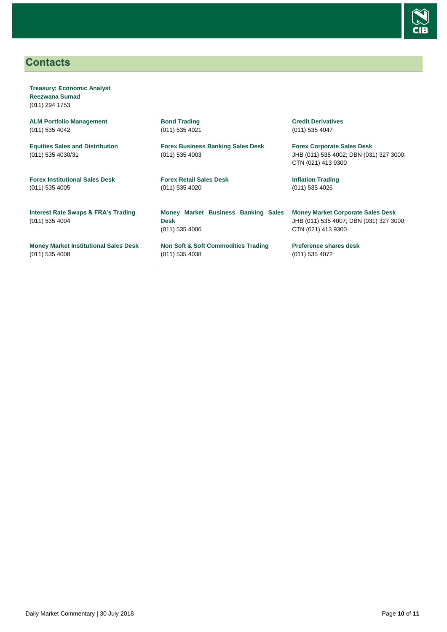

## <span id="page-9-0"></span>**Contacts**

**Treasury: Economic Analyst Reezwana Sumad** (011) 294 1753

**ALM Portfolio Management** (011) 535 4042

**Equities Sales and Distribution** (011) 535 4030/31

**Forex Institutional Sales Desk** (011) 535 4005

**Interest Rate Swaps & FRA's Trading** (011) 535 4004

**Money Market Institutional Sales Desk** (011) 535 4008

**Bond Trading** (011) 535 4021

**Forex Business Banking Sales Desk** (011) 535 4003

**Forex Retail Sales Desk** (011) 535 4020

**Money Market Business Banking Sales Desk** (011) 535 4006

**Non Soft & Soft Commodities Trading** (011) 535 4038

**Credit Derivatives**  (011) 535 4047

**Forex Corporate Sales Desk** JHB (011) 535 4002; DBN (031) 327 3000; CTN (021) 413 9300

**Inflation Trading** (011) 535 4026

**Money Market Corporate Sales Desk** JHB (011) 535 4007; DBN (031) 327 3000; CTN (021) 413 9300

**Preference shares desk** (011) 535 4072